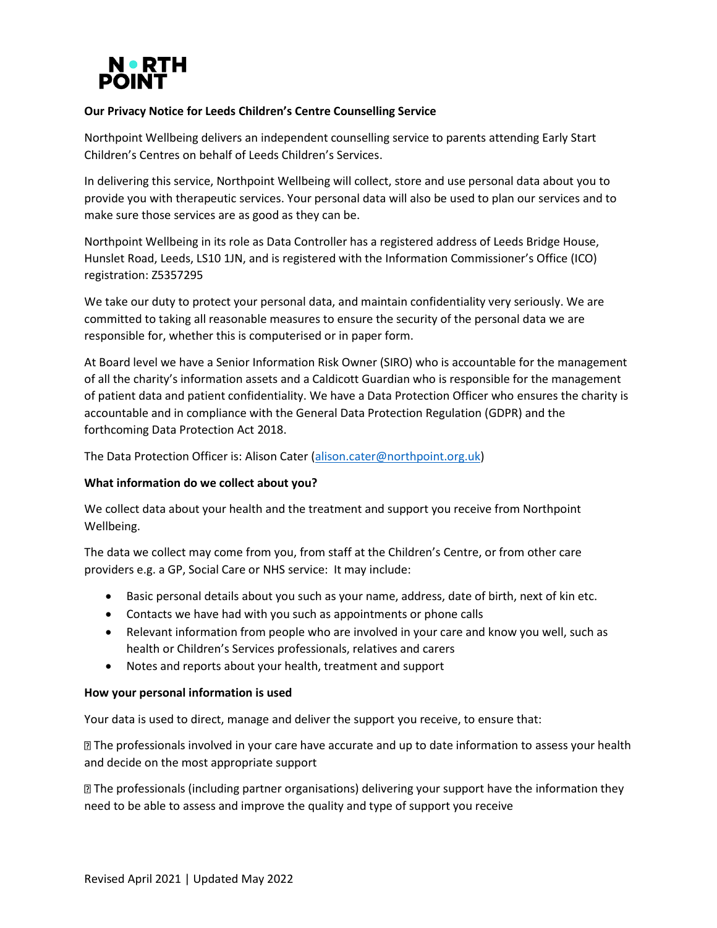

# **Our Privacy Notice for Leeds Children's Centre Counselling Service**

Northpoint Wellbeing delivers an independent counselling service to parents attending Early Start Children's Centres on behalf of Leeds Children's Services.

In delivering this service, Northpoint Wellbeing will collect, store and use personal data about you to provide you with therapeutic services. Your personal data will also be used to plan our services and to make sure those services are as good as they can be.

Northpoint Wellbeing in its role as Data Controller has a registered address of Leeds Bridge House, Hunslet Road, Leeds, LS10 1JN, and is registered with the Information Commissioner's Office (ICO) registration: Z5357295

We take our duty to protect your personal data, and maintain confidentiality very seriously. We are committed to taking all reasonable measures to ensure the security of the personal data we are responsible for, whether this is computerised or in paper form.

At Board level we have a Senior Information Risk Owner (SIRO) who is accountable for the management of all the charity's information assets and a Caldicott Guardian who is responsible for the management of patient data and patient confidentiality. We have a Data Protection Officer who ensures the charity is accountable and in compliance with the General Data Protection Regulation (GDPR) and the forthcoming Data Protection Act 2018.

The Data Protection Officer is: Alison Cater [\(alison.cater@northpoint.org.uk\)](mailto:alison.cater@northpoint.org.uk)

## **What information do we collect about you?**

We collect data about your health and the treatment and support you receive from Northpoint Wellbeing.

The data we collect may come from you, from staff at the Children's Centre, or from other care providers e.g. a GP, Social Care or NHS service: It may include:

- Basic personal details about you such as your name, address, date of birth, next of kin etc.
- Contacts we have had with you such as appointments or phone calls
- Relevant information from people who are involved in your care and know you well, such as health or Children's Services professionals, relatives and carers
- Notes and reports about your health, treatment and support

## **How your personal information is used**

Your data is used to direct, manage and deliver the support you receive, to ensure that:

The professionals involved in your care have accurate and up to date information to assess your health and decide on the most appropriate support

The professionals (including partner organisations) delivering your support have the information they need to be able to assess and improve the quality and type of support you receive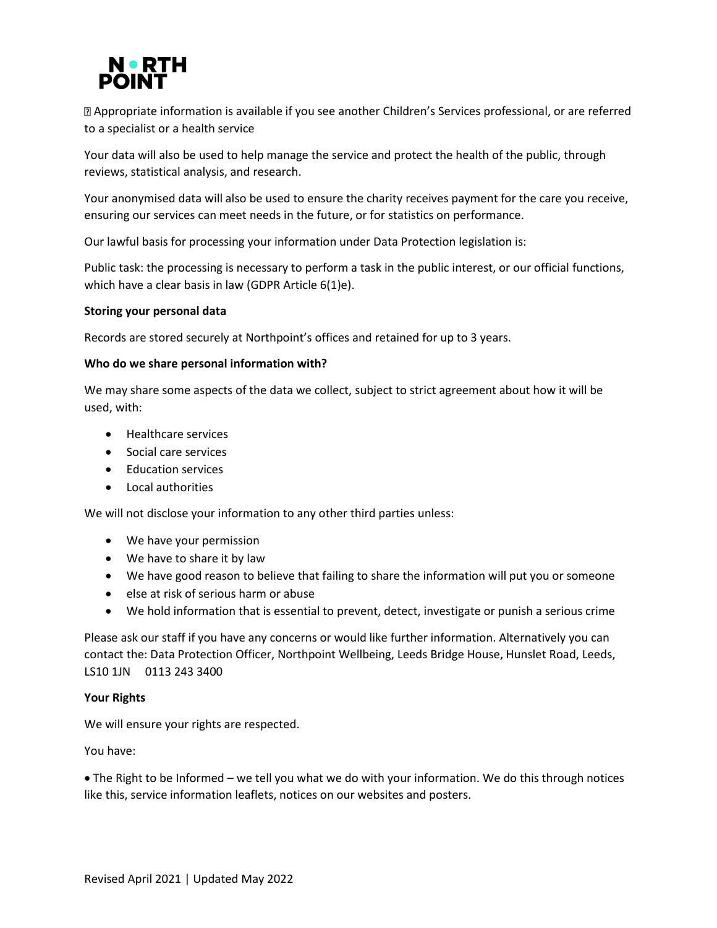

Appropriate information is available if you see another Children's Services professional, or are referred to a specialist or a health service

Your data will also be used to help manage the service and protect the health of the public, through reviews, statistical analysis, and research.

Your anonymised data will also be used to ensure the charity receives payment for the care you receive, ensuring our services can meet needs in the future, or for statistics on performance.

Our lawful basis for processing your information under Data Protection legislation is:

Public task: the processing is necessary to perform a task in the public interest, or our official functions, which have a clear basis in law (GDPR Article 6(1)e).

### **Storing your personal data**

Records are stored securely at Northpoint's offices and retained for up to 3 years.

### **Who do we share personal information with?**

We may share some aspects of the data we collect, subject to strict agreement about how it will be used, with:

- Healthcare services
- Social care services
- Education services
- Local authorities

We will not disclose your information to any other third parties unless:

- We have your permission
- We have to share it by law
- We have good reason to believe that failing to share the information will put you or someone
- else at risk of serious harm or abuse
- We hold information that is essential to prevent, detect, investigate or punish a serious crime

Please ask our staff if you have any concerns or would like further information. Alternatively you can contact the: Data Protection Officer, Northpoint Wellbeing, Leeds Bridge House, Hunslet Road, Leeds, LS10 1JN 0113 243 3400

#### **Your Rights**

We will ensure your rights are respected.

You have:

• The Right to be Informed – we tell you what we do with your information. We do this through notices like this, service information leaflets, notices on our websites and posters.